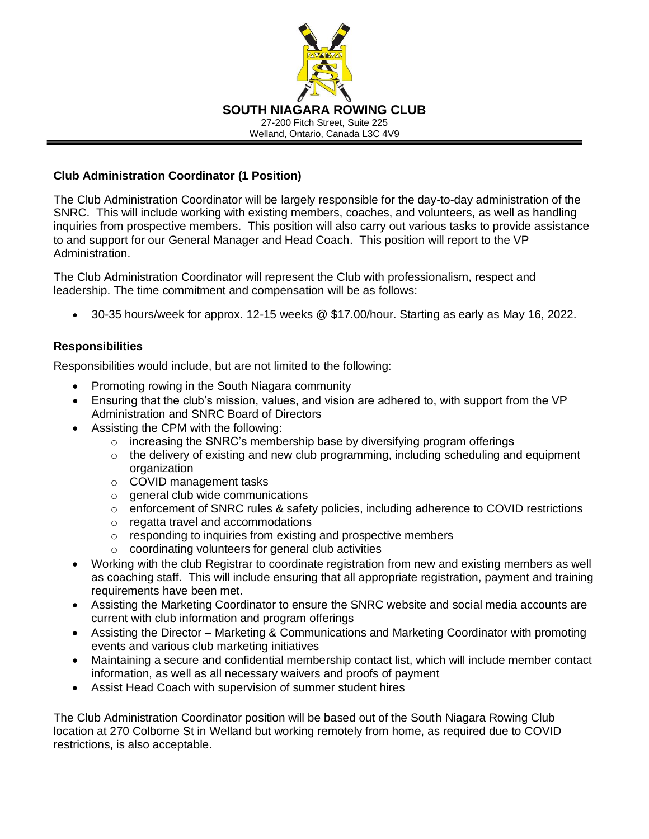

## **Club Administration Coordinator (1 Position)**

The Club Administration Coordinator will be largely responsible for the day-to-day administration of the SNRC. This will include working with existing members, coaches, and volunteers, as well as handling inquiries from prospective members. This position will also carry out various tasks to provide assistance to and support for our General Manager and Head Coach. This position will report to the VP Administration.

The Club Administration Coordinator will represent the Club with professionalism, respect and leadership. The time commitment and compensation will be as follows:

• 30-35 hours/week for approx. 12-15 weeks @ \$17.00/hour. Starting as early as May 16, 2022.

## **Responsibilities**

Responsibilities would include, but are not limited to the following:

- Promoting rowing in the South Niagara community
- Ensuring that the club's mission, values, and vision are adhered to, with support from the VP Administration and SNRC Board of Directors
- Assisting the CPM with the following:
	- $\circ$  increasing the SNRC's membership base by diversifying program offerings
	- o the delivery of existing and new club programming, including scheduling and equipment organization
	- o COVID management tasks
	- o general club wide communications
	- $\circ$  enforcement of SNRC rules & safety policies, including adherence to COVID restrictions
	- o regatta travel and accommodations
	- o responding to inquiries from existing and prospective members
	- o coordinating volunteers for general club activities
- Working with the club Registrar to coordinate registration from new and existing members as well as coaching staff. This will include ensuring that all appropriate registration, payment and training requirements have been met.
- Assisting the Marketing Coordinator to ensure the SNRC website and social media accounts are current with club information and program offerings
- Assisting the Director Marketing & Communications and Marketing Coordinator with promoting events and various club marketing initiatives
- Maintaining a secure and confidential membership contact list, which will include member contact information, as well as all necessary waivers and proofs of payment
- Assist Head Coach with supervision of summer student hires

The Club Administration Coordinator position will be based out of the South Niagara Rowing Club location at 270 Colborne St in Welland but working remotely from home, as required due to COVID restrictions, is also acceptable.